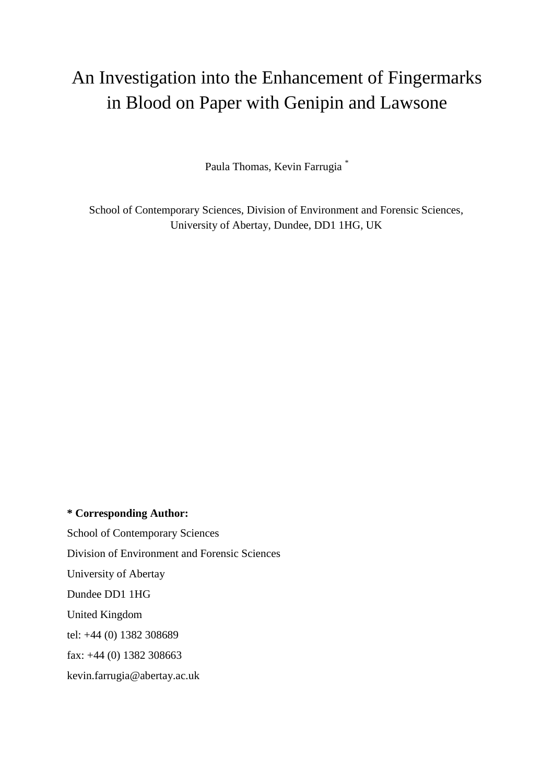# An Investigation into the Enhancement of Fingermarks in Blood on Paper with Genipin and Lawsone

Paula Thomas, Kevin Farrugia \*

School of Contemporary Sciences, Division of Environment and Forensic Sciences, University of Abertay, Dundee, DD1 1HG, UK

**\* Corresponding Author:** School of Contemporary Sciences Division of Environment and Forensic Sciences University of Abertay Dundee DD1 1HG United Kingdom tel: +44 (0) 1382 308689 fax: +44 (0) 1382 308663 kevin.farrugia@abertay.ac.uk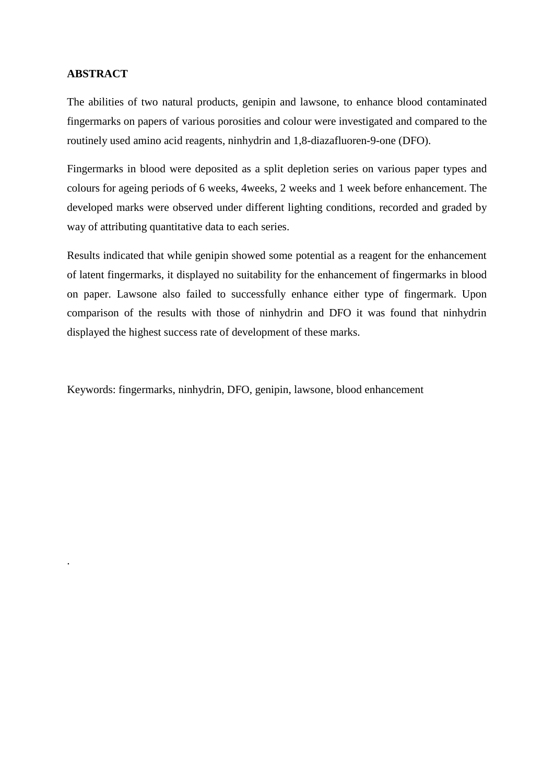## **ABSTRACT**

.

The abilities of two natural products, genipin and lawsone, to enhance blood contaminated fingermarks on papers of various porosities and colour were investigated and compared to the routinely used amino acid reagents, ninhydrin and 1,8-diazafluoren-9-one (DFO).

Fingermarks in blood were deposited as a split depletion series on various paper types and colours for ageing periods of 6 weeks, 4weeks, 2 weeks and 1 week before enhancement. The developed marks were observed under different lighting conditions, recorded and graded by way of attributing quantitative data to each series.

Results indicated that while genipin showed some potential as a reagent for the enhancement of latent fingermarks, it displayed no suitability for the enhancement of fingermarks in blood on paper. Lawsone also failed to successfully enhance either type of fingermark. Upon comparison of the results with those of ninhydrin and DFO it was found that ninhydrin displayed the highest success rate of development of these marks.

Keywords: fingermarks, ninhydrin, DFO, genipin, lawsone, blood enhancement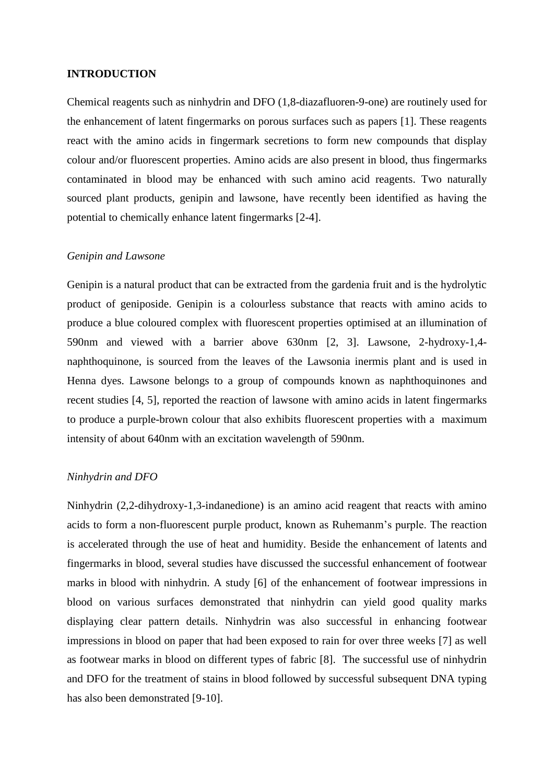#### **INTRODUCTION**

Chemical reagents such as ninhydrin and DFO (1,8-diazafluoren-9-one) are routinely used for the enhancement of latent fingermarks on porous surfaces such as papers [1]. These reagents react with the amino acids in fingermark secretions to form new compounds that display colour and/or fluorescent properties. Amino acids are also present in blood, thus fingermarks contaminated in blood may be enhanced with such amino acid reagents. Two naturally sourced plant products, genipin and lawsone, have recently been identified as having the potential to chemically enhance latent fingermarks [2-4].

#### *Genipin and Lawsone*

Genipin is a natural product that can be extracted from the gardenia fruit and is the hydrolytic product of geniposide. Genipin is a colourless substance that reacts with amino acids to produce a blue coloured complex with fluorescent properties optimised at an illumination of 590nm and viewed with a barrier above 630nm [2, 3]. Lawsone, 2-hydroxy-1,4 naphthoquinone, is sourced from the leaves of the Lawsonia inermis plant and is used in Henna dyes. Lawsone belongs to a group of compounds known as naphthoquinones and recent studies [4, 5], reported the reaction of lawsone with amino acids in latent fingermarks to produce a purple-brown colour that also exhibits fluorescent properties with a maximum intensity of about 640nm with an excitation wavelength of 590nm.

## *Ninhydrin and DFO*

Ninhydrin (2,2-dihydroxy-1,3-indanedione) is an amino acid reagent that reacts with amino acids to form a non-fluorescent purple product, known as Ruhemanm's purple. The reaction is accelerated through the use of heat and humidity. Beside the enhancement of latents and fingermarks in blood, several studies have discussed the successful enhancement of footwear marks in blood with ninhydrin. A study [6] of the enhancement of footwear impressions in blood on various surfaces demonstrated that ninhydrin can yield good quality marks displaying clear pattern details. Ninhydrin was also successful in enhancing footwear impressions in blood on paper that had been exposed to rain for over three weeks [7] as well as footwear marks in blood on different types of fabric [8]. The successful use of ninhydrin and DFO for the treatment of stains in blood followed by successful subsequent DNA typing has also been demonstrated [9-10].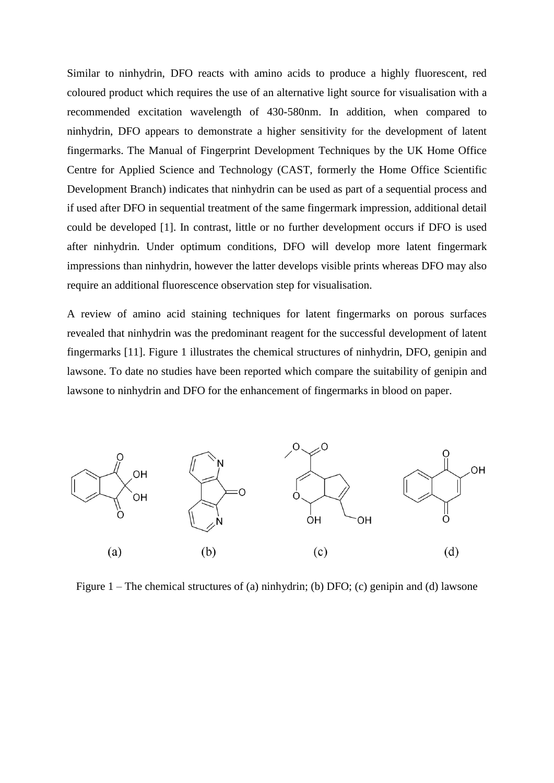Similar to ninhydrin, DFO reacts with amino acids to produce a highly fluorescent, red coloured product which requires the use of an alternative light source for visualisation with a recommended excitation wavelength of 430-580nm. In addition, when compared to ninhydrin, DFO appears to demonstrate a higher sensitivity for the development of latent fingermarks. The Manual of Fingerprint Development Techniques by the UK Home Office Centre for Applied Science and Technology (CAST, formerly the Home Office Scientific Development Branch) indicates that ninhydrin can be used as part of a sequential process and if used after DFO in sequential treatment of the same fingermark impression, additional detail could be developed [1]. In contrast, little or no further development occurs if DFO is used after ninhydrin. Under optimum conditions, DFO will develop more latent fingermark impressions than ninhydrin, however the latter develops visible prints whereas DFO may also require an additional fluorescence observation step for visualisation.

A review of amino acid staining techniques for latent fingermarks on porous surfaces revealed that ninhydrin was the predominant reagent for the successful development of latent fingermarks [11]. Figure 1 illustrates the chemical structures of ninhydrin, DFO, genipin and lawsone. To date no studies have been reported which compare the suitability of genipin and lawsone to ninhydrin and DFO for the enhancement of fingermarks in blood on paper.



Figure 1 – The chemical structures of (a) ninhydrin; (b) DFO; (c) genipin and (d) lawsone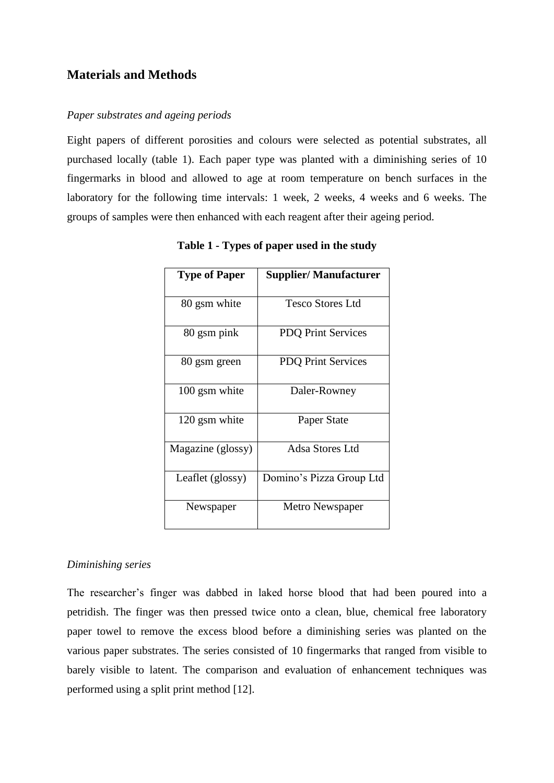# **Materials and Methods**

#### *Paper substrates and ageing periods*

Eight papers of different porosities and colours were selected as potential substrates, all purchased locally (table 1). Each paper type was planted with a diminishing series of 10 fingermarks in blood and allowed to age at room temperature on bench surfaces in the laboratory for the following time intervals: 1 week, 2 weeks, 4 weeks and 6 weeks. The groups of samples were then enhanced with each reagent after their ageing period.

| <b>Type of Paper</b> | <b>Supplier/ Manufacturer</b> |
|----------------------|-------------------------------|
| 80 gsm white         | Tesco Stores Ltd              |
| 80 gsm pink          | <b>PDQ Print Services</b>     |
| 80 gsm green         | <b>PDQ Print Services</b>     |
| 100 gsm white        | Daler-Rowney                  |
| 120 gsm white        | Paper State                   |
| Magazine (glossy)    | Adsa Stores Ltd               |
| Leaflet (glossy)     | Domino's Pizza Group Ltd      |
| Newspaper            | Metro Newspaper               |

**Table 1 - Types of paper used in the study**

#### *Diminishing series*

The researcher's finger was dabbed in laked horse blood that had been poured into a petridish. The finger was then pressed twice onto a clean, blue, chemical free laboratory paper towel to remove the excess blood before a diminishing series was planted on the various paper substrates. The series consisted of 10 fingermarks that ranged from visible to barely visible to latent. The comparison and evaluation of enhancement techniques was performed using a split print method [12].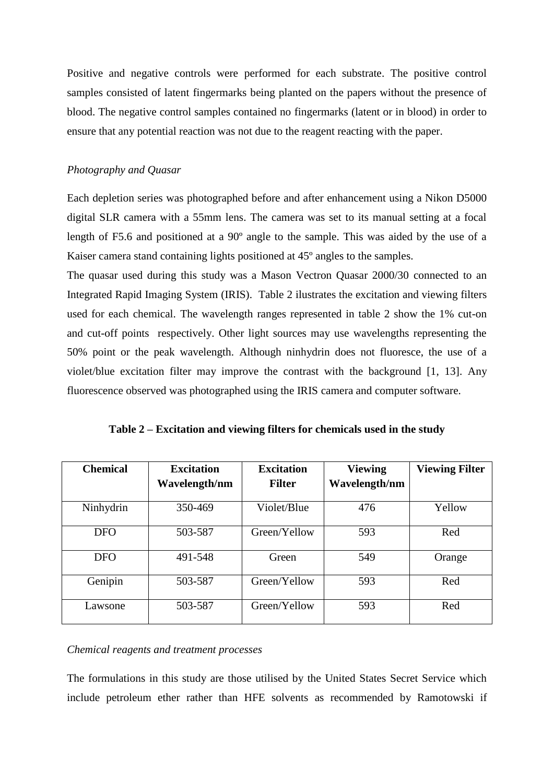Positive and negative controls were performed for each substrate. The positive control samples consisted of latent fingermarks being planted on the papers without the presence of blood. The negative control samples contained no fingermarks (latent or in blood) in order to ensure that any potential reaction was not due to the reagent reacting with the paper.

## *Photography and Quasar*

Each depletion series was photographed before and after enhancement using a Nikon D5000 digital SLR camera with a 55mm lens. The camera was set to its manual setting at a focal length of F5.6 and positioned at a 90º angle to the sample. This was aided by the use of a Kaiser camera stand containing lights positioned at 45º angles to the samples.

The quasar used during this study was a Mason Vectron Quasar 2000/30 connected to an Integrated Rapid Imaging System (IRIS). Table 2 ilustrates the excitation and viewing filters used for each chemical. The wavelength ranges represented in table 2 show the 1% cut-on and cut-off points respectively. Other light sources may use wavelengths representing the 50% point or the peak wavelength. Although ninhydrin does not fluoresce, the use of a violet/blue excitation filter may improve the contrast with the background [1, 13]. Any fluorescence observed was photographed using the IRIS camera and computer software.

| <b>Chemical</b> | <b>Excitation</b> | <b>Excitation</b> | <b>Viewing</b> | <b>Viewing Filter</b> |
|-----------------|-------------------|-------------------|----------------|-----------------------|
|                 | Wavelength/nm     | <b>Filter</b>     | Wavelength/nm  |                       |
| Ninhydrin       | 350-469           | Violet/Blue       | 476            | Yellow                |
| <b>DFO</b>      | 503-587           | Green/Yellow      | 593            | Red                   |
| <b>DFO</b>      | 491-548           | Green             | 549            | Orange                |
| Genipin         | 503-587           | Green/Yellow      | 593            | Red                   |
| Lawsone         | 503-587           | Green/Yellow      | 593            | Red                   |

**Table 2 – Excitation and viewing filters for chemicals used in the study**

#### *Chemical reagents and treatment processes*

The formulations in this study are those utilised by the United States Secret Service which include petroleum ether rather than HFE solvents as recommended by Ramotowski if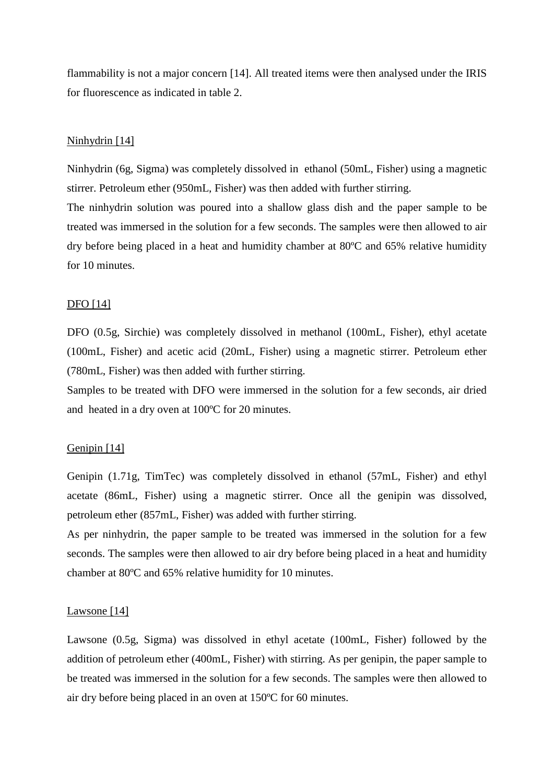flammability is not a major concern [14]. All treated items were then analysed under the IRIS for fluorescence as indicated in table 2.

## Ninhydrin [14]

Ninhydrin (6g, Sigma) was completely dissolved in ethanol (50mL, Fisher) using a magnetic stirrer. Petroleum ether (950mL, Fisher) was then added with further stirring.

The ninhydrin solution was poured into a shallow glass dish and the paper sample to be treated was immersed in the solution for a few seconds. The samples were then allowed to air dry before being placed in a heat and humidity chamber at 80ºC and 65% relative humidity for 10 minutes.

## DFO [14]

DFO (0.5g, Sirchie) was completely dissolved in methanol (100mL, Fisher), ethyl acetate (100mL, Fisher) and acetic acid (20mL, Fisher) using a magnetic stirrer. Petroleum ether (780mL, Fisher) was then added with further stirring.

Samples to be treated with DFO were immersed in the solution for a few seconds, air dried and heated in a dry oven at 100ºC for 20 minutes.

## Genipin [14]

Genipin (1.71g, TimTec) was completely dissolved in ethanol (57mL, Fisher) and ethyl acetate (86mL, Fisher) using a magnetic stirrer. Once all the genipin was dissolved, petroleum ether (857mL, Fisher) was added with further stirring.

As per ninhydrin, the paper sample to be treated was immersed in the solution for a few seconds. The samples were then allowed to air dry before being placed in a heat and humidity chamber at 80ºC and 65% relative humidity for 10 minutes.

#### Lawsone [14]

Lawsone (0.5g, Sigma) was dissolved in ethyl acetate (100mL, Fisher) followed by the addition of petroleum ether (400mL, Fisher) with stirring. As per genipin, the paper sample to be treated was immersed in the solution for a few seconds. The samples were then allowed to air dry before being placed in an oven at 150ºC for 60 minutes.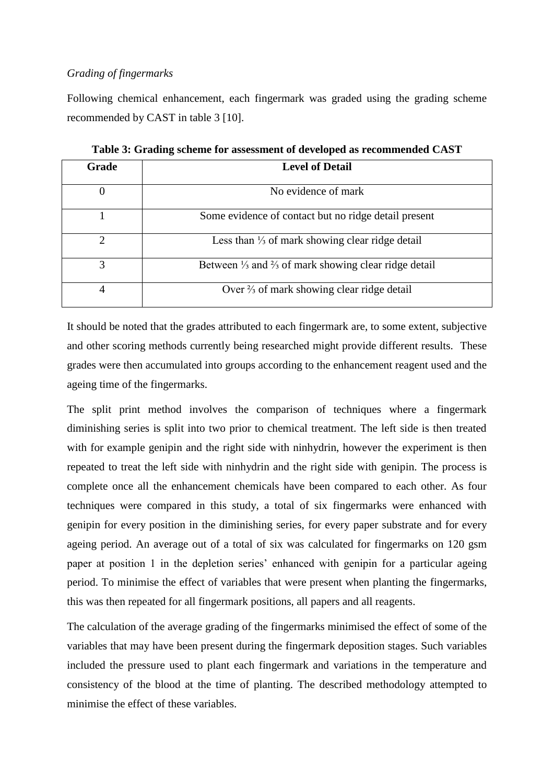## *Grading of fingermarks*

Following chemical enhancement, each fingermark was graded using the grading scheme recommended by CAST in table 3 [10].

| Grade    | <b>Level of Detail</b>                                                     |
|----------|----------------------------------------------------------------------------|
| $\Omega$ | No evidence of mark                                                        |
|          | Some evidence of contact but no ridge detail present                       |
| 2        | Less than $\frac{1}{3}$ of mark showing clear ridge detail                 |
| 3        | Between $\frac{1}{3}$ and $\frac{2}{3}$ of mark showing clear ridge detail |
| 4        | Over $\frac{2}{3}$ of mark showing clear ridge detail                      |

**Table 3: Grading scheme for assessment of developed as recommended CAST**

It should be noted that the grades attributed to each fingermark are, to some extent, subjective and other scoring methods currently being researched might provide different results. These grades were then accumulated into groups according to the enhancement reagent used and the ageing time of the fingermarks.

The split print method involves the comparison of techniques where a fingermark diminishing series is split into two prior to chemical treatment. The left side is then treated with for example genipin and the right side with ninhydrin, however the experiment is then repeated to treat the left side with ninhydrin and the right side with genipin. The process is complete once all the enhancement chemicals have been compared to each other. As four techniques were compared in this study, a total of six fingermarks were enhanced with genipin for every position in the diminishing series, for every paper substrate and for every ageing period. An average out of a total of six was calculated for fingermarks on 120 gsm paper at position 1 in the depletion series' enhanced with genipin for a particular ageing period. To minimise the effect of variables that were present when planting the fingermarks, this was then repeated for all fingermark positions, all papers and all reagents.

The calculation of the average grading of the fingermarks minimised the effect of some of the variables that may have been present during the fingermark deposition stages. Such variables included the pressure used to plant each fingermark and variations in the temperature and consistency of the blood at the time of planting. The described methodology attempted to minimise the effect of these variables.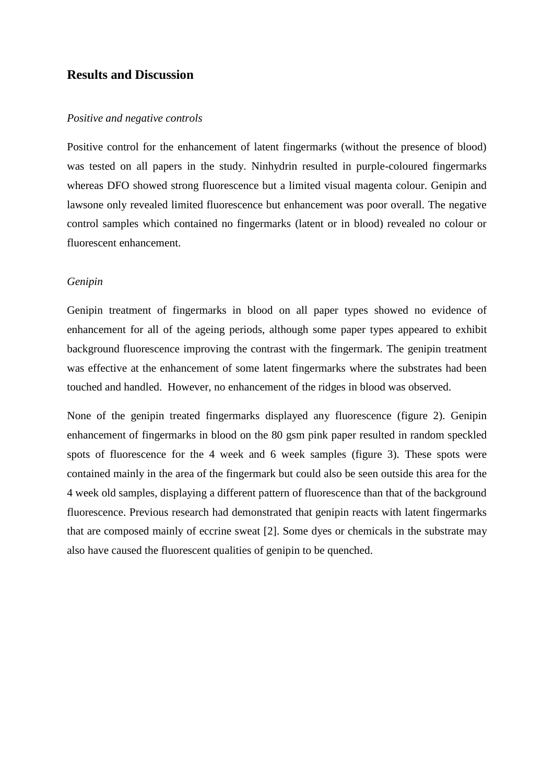## **Results and Discussion**

#### *Positive and negative controls*

Positive control for the enhancement of latent fingermarks (without the presence of blood) was tested on all papers in the study. Ninhydrin resulted in purple-coloured fingermarks whereas DFO showed strong fluorescence but a limited visual magenta colour. Genipin and lawsone only revealed limited fluorescence but enhancement was poor overall. The negative control samples which contained no fingermarks (latent or in blood) revealed no colour or fluorescent enhancement.

#### *Genipin*

Genipin treatment of fingermarks in blood on all paper types showed no evidence of enhancement for all of the ageing periods, although some paper types appeared to exhibit background fluorescence improving the contrast with the fingermark. The genipin treatment was effective at the enhancement of some latent fingermarks where the substrates had been touched and handled. However, no enhancement of the ridges in blood was observed.

None of the genipin treated fingermarks displayed any fluorescence (figure 2). Genipin enhancement of fingermarks in blood on the 80 gsm pink paper resulted in random speckled spots of fluorescence for the 4 week and 6 week samples (figure 3). These spots were contained mainly in the area of the fingermark but could also be seen outside this area for the 4 week old samples, displaying a different pattern of fluorescence than that of the background fluorescence. Previous research had demonstrated that genipin reacts with latent fingermarks that are composed mainly of eccrine sweat [2]. Some dyes or chemicals in the substrate may also have caused the fluorescent qualities of genipin to be quenched.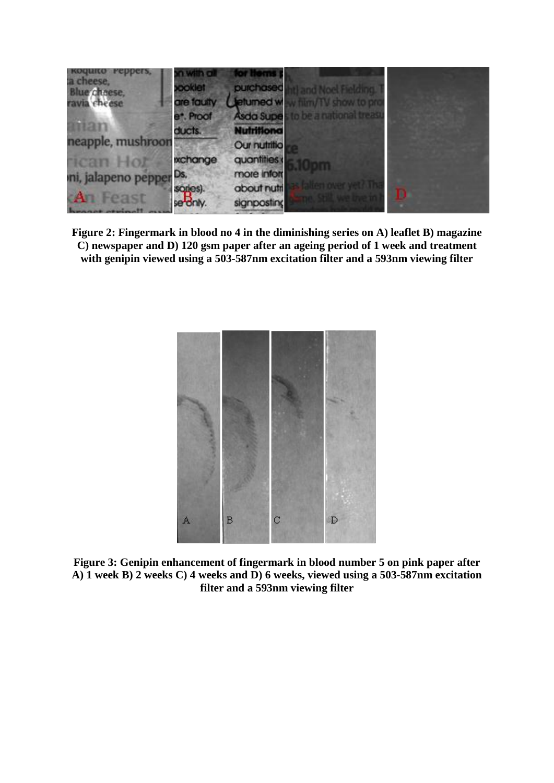

**Figure 2: Fingermark in blood no 4 in the diminishing series on A) leaflet B) magazine C) newspaper and D) 120 gsm paper after an ageing period of 1 week and treatment with genipin viewed using a 503-587nm excitation filter and a 593nm viewing filter**



**Figure 3: Genipin enhancement of fingermark in blood number 5 on pink paper after A) 1 week B) 2 weeks C) 4 weeks and D) 6 weeks, viewed using a 503-587nm excitation filter and a 593nm viewing filter**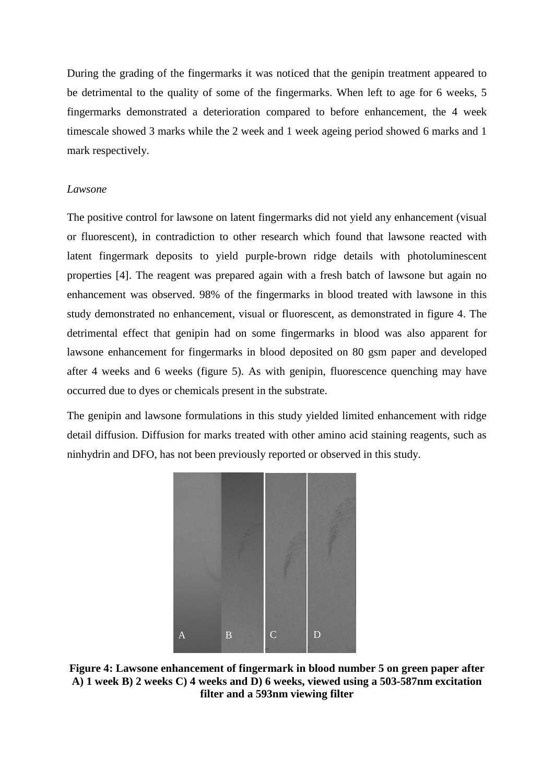During the grading of the fingermarks it was noticed that the genipin treatment appeared to be detrimental to the quality of some of the fingermarks. When left to age for 6 weeks, 5 fingermarks demonstrated a deterioration compared to before enhancement, the 4 week timescale showed 3 marks while the 2 week and 1 week ageing period showed 6 marks and 1 mark respectively.

## *Lawsone*

The positive control for lawsone on latent fingermarks did not yield any enhancement (visual or fluorescent), in contradiction to other research which found that lawsone reacted with latent fingermark deposits to yield purple-brown ridge details with photoluminescent properties [4]. The reagent was prepared again with a fresh batch of lawsone but again no enhancement was observed. 98% of the fingermarks in blood treated with lawsone in this study demonstrated no enhancement, visual or fluorescent, as demonstrated in figure 4. The detrimental effect that genipin had on some fingermarks in blood was also apparent for lawsone enhancement for fingermarks in blood deposited on 80 gsm paper and developed after 4 weeks and 6 weeks (figure 5). As with genipin, fluorescence quenching may have occurred due to dyes or chemicals present in the substrate.

The genipin and lawsone formulations in this study yielded limited enhancement with ridge detail diffusion. Diffusion for marks treated with other amino acid staining reagents, such as ninhydrin and DFO, has not been previously reported or observed in this study.



**Figure 4: Lawsone enhancement of fingermark in blood number 5 on green paper after A) 1 week B) 2 weeks C) 4 weeks and D) 6 weeks, viewed using a 503-587nm excitation filter and a 593nm viewing filter**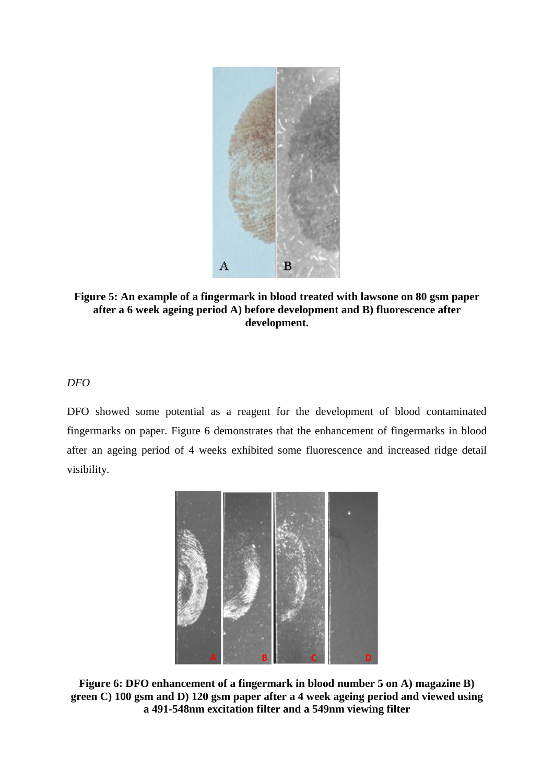

**Figure 5: An example of a fingermark in blood treated with lawsone on 80 gsm paper after a 6 week ageing period A) before development and B) fluorescence after development.** 

## *DFO*

DFO showed some potential as a reagent for the development of blood contaminated fingermarks on paper. Figure 6 demonstrates that the enhancement of fingermarks in blood after an ageing period of 4 weeks exhibited some fluorescence and increased ridge detail visibility.



**Figure 6: DFO enhancement of a fingermark in blood number 5 on A) magazine B) green C) 100 gsm and D) 120 gsm paper after a 4 week ageing period and viewed using a 491-548nm excitation filter and a 549nm viewing filter**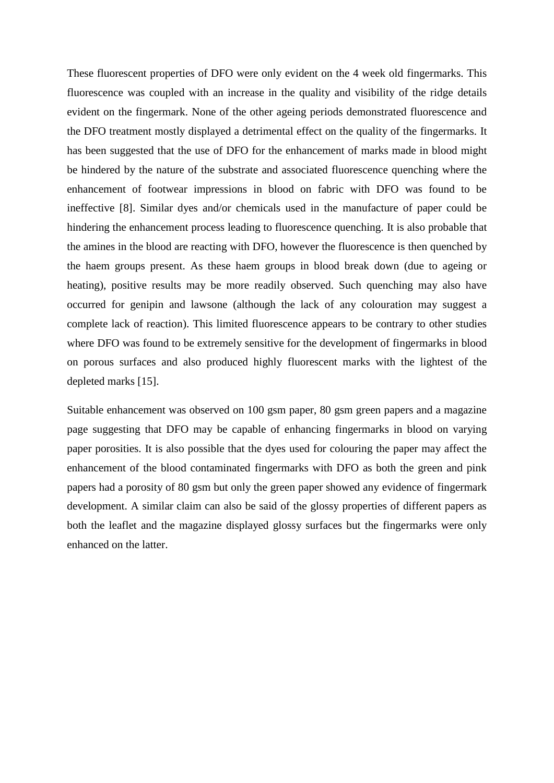These fluorescent properties of DFO were only evident on the 4 week old fingermarks. This fluorescence was coupled with an increase in the quality and visibility of the ridge details evident on the fingermark. None of the other ageing periods demonstrated fluorescence and the DFO treatment mostly displayed a detrimental effect on the quality of the fingermarks. It has been suggested that the use of DFO for the enhancement of marks made in blood might be hindered by the nature of the substrate and associated fluorescence quenching where the enhancement of footwear impressions in blood on fabric with DFO was found to be ineffective [8]. Similar dyes and/or chemicals used in the manufacture of paper could be hindering the enhancement process leading to fluorescence quenching. It is also probable that the amines in the blood are reacting with DFO, however the fluorescence is then quenched by the haem groups present. As these haem groups in blood break down (due to ageing or heating), positive results may be more readily observed. Such quenching may also have occurred for genipin and lawsone (although the lack of any colouration may suggest a complete lack of reaction). This limited fluorescence appears to be contrary to other studies where DFO was found to be extremely sensitive for the development of fingermarks in blood on porous surfaces and also produced highly fluorescent marks with the lightest of the depleted marks [15].

Suitable enhancement was observed on 100 gsm paper, 80 gsm green papers and a magazine page suggesting that DFO may be capable of enhancing fingermarks in blood on varying paper porosities. It is also possible that the dyes used for colouring the paper may affect the enhancement of the blood contaminated fingermarks with DFO as both the green and pink papers had a porosity of 80 gsm but only the green paper showed any evidence of fingermark development. A similar claim can also be said of the glossy properties of different papers as both the leaflet and the magazine displayed glossy surfaces but the fingermarks were only enhanced on the latter.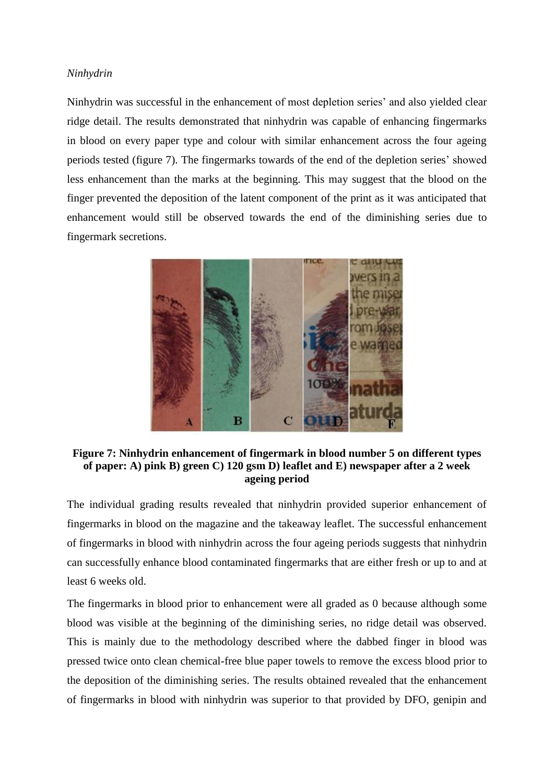## *Ninhydrin*

Ninhydrin was successful in the enhancement of most depletion series' and also yielded clear ridge detail. The results demonstrated that ninhydrin was capable of enhancing fingermarks in blood on every paper type and colour with similar enhancement across the four ageing periods tested (figure 7). The fingermarks towards of the end of the depletion series' showed less enhancement than the marks at the beginning. This may suggest that the blood on the finger prevented the deposition of the latent component of the print as it was anticipated that enhancement would still be observed towards the end of the diminishing series due to fingermark secretions.



**Figure 7: Ninhydrin enhancement of fingermark in blood number 5 on different types of paper: A) pink B) green C) 120 gsm D) leaflet and E) newspaper after a 2 week ageing period**

The individual grading results revealed that ninhydrin provided superior enhancement of fingermarks in blood on the magazine and the takeaway leaflet. The successful enhancement of fingermarks in blood with ninhydrin across the four ageing periods suggests that ninhydrin can successfully enhance blood contaminated fingermarks that are either fresh or up to and at least 6 weeks old.

The fingermarks in blood prior to enhancement were all graded as 0 because although some blood was visible at the beginning of the diminishing series, no ridge detail was observed. This is mainly due to the methodology described where the dabbed finger in blood was pressed twice onto clean chemical-free blue paper towels to remove the excess blood prior to the deposition of the diminishing series. The results obtained revealed that the enhancement of fingermarks in blood with ninhydrin was superior to that provided by DFO, genipin and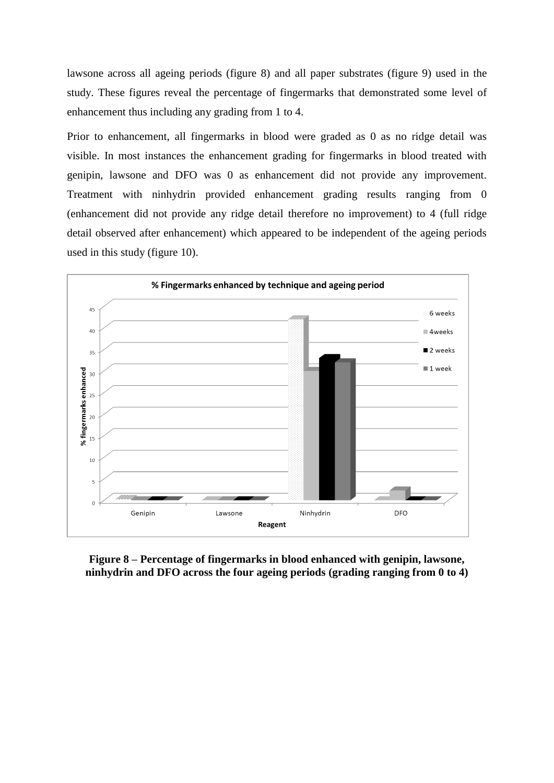lawsone across all ageing periods (figure 8) and all paper substrates (figure 9) used in the study. These figures reveal the percentage of fingermarks that demonstrated some level of enhancement thus including any grading from 1 to 4.

Prior to enhancement, all fingermarks in blood were graded as 0 as no ridge detail was visible. In most instances the enhancement grading for fingermarks in blood treated with genipin, lawsone and DFO was 0 as enhancement did not provide any improvement. Treatment with ninhydrin provided enhancement grading results ranging from 0 (enhancement did not provide any ridge detail therefore no improvement) to 4 (full ridge detail observed after enhancement) which appeared to be independent of the ageing periods used in this study (figure 10).



**Figure 8 – Percentage of fingermarks in blood enhanced with genipin, lawsone, ninhydrin and DFO across the four ageing periods (grading ranging from 0 to 4)**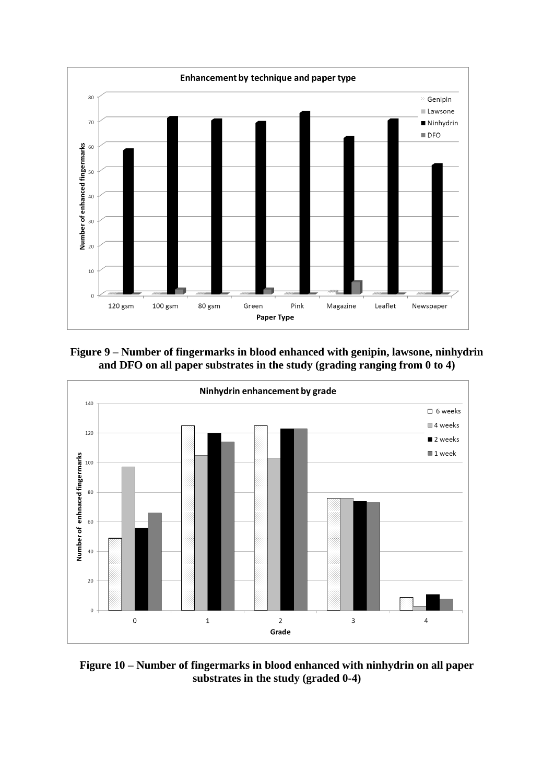

**Figure 9 – Number of fingermarks in blood enhanced with genipin, lawsone, ninhydrin and DFO on all paper substrates in the study (grading ranging from 0 to 4)**



**Figure 10 – Number of fingermarks in blood enhanced with ninhydrin on all paper substrates in the study (graded 0-4)**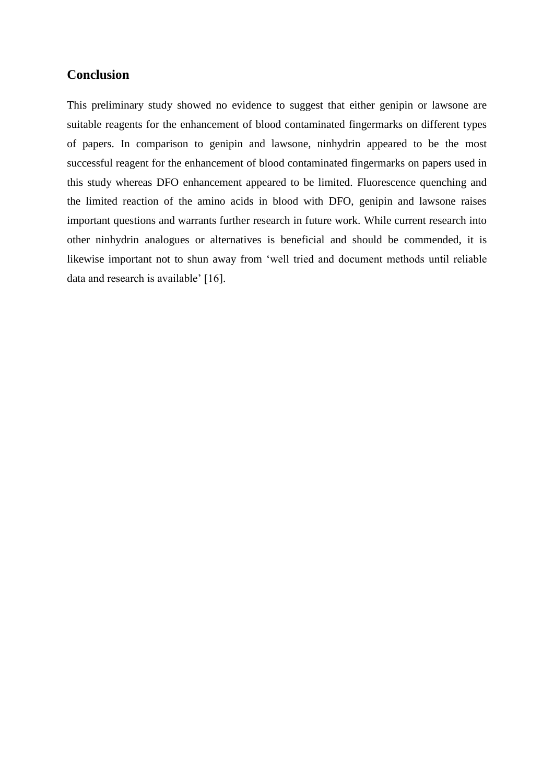# **Conclusion**

This preliminary study showed no evidence to suggest that either genipin or lawsone are suitable reagents for the enhancement of blood contaminated fingermarks on different types of papers. In comparison to genipin and lawsone, ninhydrin appeared to be the most successful reagent for the enhancement of blood contaminated fingermarks on papers used in this study whereas DFO enhancement appeared to be limited. Fluorescence quenching and the limited reaction of the amino acids in blood with DFO, genipin and lawsone raises important questions and warrants further research in future work. While current research into other ninhydrin analogues or alternatives is beneficial and should be commended, it is likewise important not to shun away from 'well tried and document methods until reliable data and research is available' [16].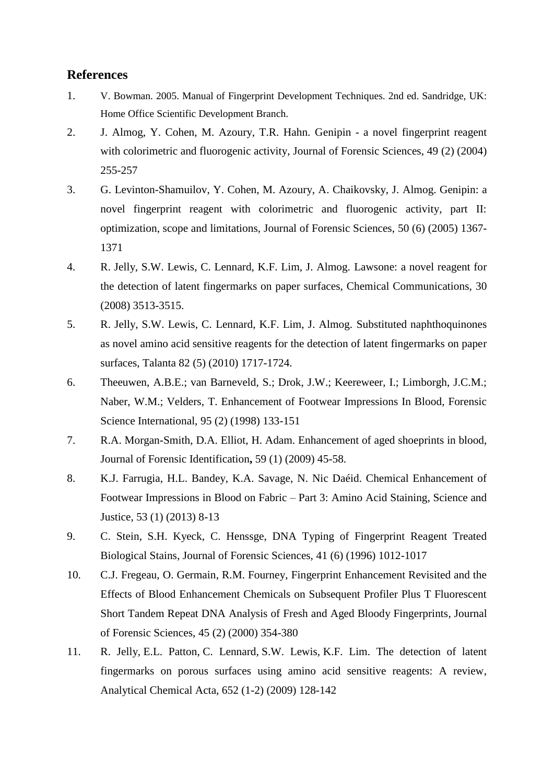# **References**

- 1. V. Bowman. 2005. Manual of Fingerprint Development Techniques. 2nd ed. Sandridge, UK: Home Office Scientific Development Branch.
- 2. J. Almog, Y. Cohen, M. Azoury, T.R. Hahn. Genipin a novel fingerprint reagent with colorimetric and fluorogenic activity, Journal of Forensic Sciences, 49 (2) (2004) 255-257
- 3. G. Levinton-Shamuilov, Y. Cohen, M. Azoury, A. Chaikovsky, J. Almog. Genipin: a novel fingerprint reagent with colorimetric and fluorogenic activity, part II: optimization, scope and limitations, Journal of Forensic Sciences, 50 (6) (2005) 1367- 1371
- 4. R. Jelly, S.W. Lewis, C. Lennard, K.F. Lim, J. Almog. Lawsone: a novel reagent for the detection of latent fingermarks on paper surfaces, Chemical Communications, 30 (2008) 3513-3515.
- 5. R. Jelly, S.W. Lewis, C. Lennard, K.F. Lim, J. Almog. Substituted naphthoquinones as novel amino acid sensitive reagents for the detection of latent fingermarks on paper surfaces, Talanta 82 (5) (2010) 1717-1724.
- 6. Theeuwen, A.B.E.; van Barneveld, S.; Drok, J.W.; Keereweer, I.; Limborgh, J.C.M.; Naber, W.M.; Velders, T. Enhancement of Footwear Impressions In Blood, Forensic Science International, 95 (2) (1998) 133-151
- 7. R.A. Morgan-Smith, D.A. Elliot, H. Adam. Enhancement of aged shoeprints in blood, Journal of Forensic Identification**,** 59 (1) (2009) 45-58.
- 8. K.J. Farrugia, H.L. Bandey, K.A. Savage, N. Nic Daéid. Chemical Enhancement of Footwear Impressions in Blood on Fabric – Part 3: Amino Acid Staining, Science and Justice, 53 (1) (2013) 8-13
- 9. C. Stein, S.H. Kyeck, C. Henssge, DNA Typing of Fingerprint Reagent Treated Biological Stains, Journal of Forensic Sciences, 41 (6) (1996) 1012-1017
- 10. C.J. Fregeau, O. Germain, R.M. Fourney, Fingerprint Enhancement Revisited and the Effects of Blood Enhancement Chemicals on Subsequent Profiler Plus T Fluorescent Short Tandem Repeat DNA Analysis of Fresh and Aged Bloody Fingerprints, Journal of Forensic Sciences, 45 (2) (2000) 354-380
- 11. [R.](http://www.ncbi.nlm.nih.gov/pubmed?term=Jelly%20R%5BAuthor%5D&cauthor=true&cauthor_uid=19786173) Jelly, [E.L.](http://www.ncbi.nlm.nih.gov/pubmed?term=Patton%20EL%5BAuthor%5D&cauthor=true&cauthor_uid=19786173) Patton, [C.](http://www.ncbi.nlm.nih.gov/pubmed?term=Lennard%20C%5BAuthor%5D&cauthor=true&cauthor_uid=19786173) Lennard, [S.W.](http://www.ncbi.nlm.nih.gov/pubmed?term=Lewis%20SW%5BAuthor%5D&cauthor=true&cauthor_uid=19786173) Lewis, [K.F.](http://www.ncbi.nlm.nih.gov/pubmed?term=Lim%20KF%5BAuthor%5D&cauthor=true&cauthor_uid=19786173) Lim. The detection of latent fingermarks on porous surfaces using amino acid sensitive reagents: A review, Analytical Chemical Acta, 652 (1-2) (2009) 128-142